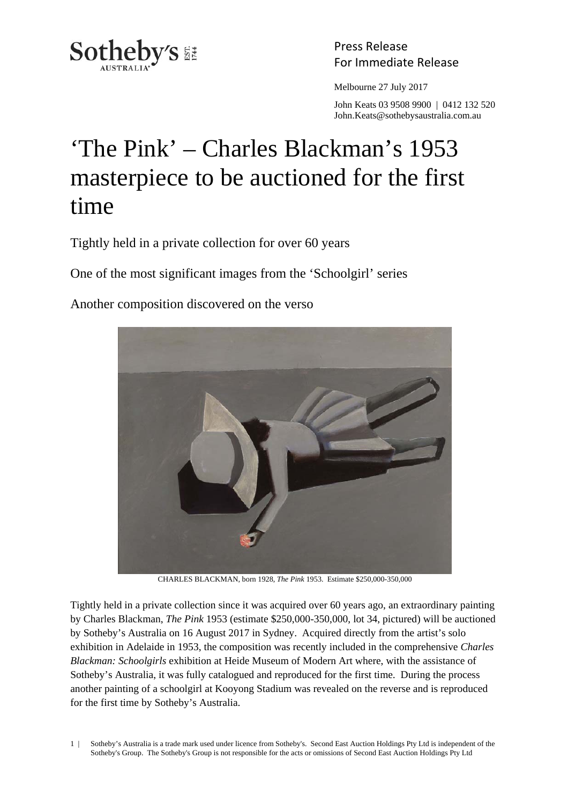

Press Release

Melbourne 27 July 2017

 John Keats 03 9508 9900 | 0412 132 520 John.Keats@sothebysaustralia.com.au

## 'The Pink' – Charles Blackman's 1953 masterpiece to be auctioned for the first time

Tightly held in a private collection for over 60 years

One of the most significant images from the 'Schoolgirl' series

Another composition discovered on the verso



CHARLES BLACKMAN, born 1928, *The Pink* 1953. Estimate \$250,000-350,000

Tightly held in a private collection since it was acquired over 60 years ago, an extraordinary painting by Charles Blackman, *The Pink* 1953 (estimate \$250,000-350,000, lot 34, pictured) will be auctioned by Sotheby's Australia on 16 August 2017 in Sydney. Acquired directly from the artist's solo exhibition in Adelaide in 1953, the composition was recently included in the comprehensive *Charles Blackman: Schoolgirls* exhibition at Heide Museum of Modern Art where, with the assistance of Sotheby's Australia, it was fully catalogued and reproduced for the first time. During the process another painting of a schoolgirl at Kooyong Stadium was revealed on the reverse and is reproduced for the first time by Sotheby's Australia.

1 | Sotheby's Australia is a trade mark used under licence from Sotheby's. Second East Auction Holdings Pty Ltd is independent of the Sotheby's Group. The Sotheby's Group is not responsible for the acts or omissions of Second East Auction Holdings Pty Ltd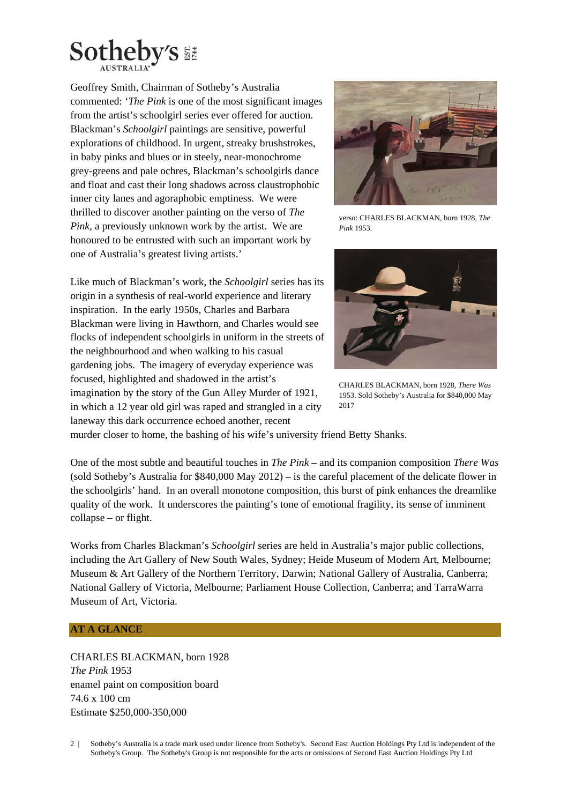

Geoffrey Smith, Chairman of Sotheby's Australia commented: '*The Pink* is one of the most significant images from the artist's schoolgirl series ever offered for auction. Blackman's *Schoolgirl* paintings are sensitive, powerful explorations of childhood. In urgent, streaky brushstrokes, in baby pinks and blues or in steely, near-monochrome grey-greens and pale ochres, Blackman's schoolgirls dance and float and cast their long shadows across claustrophobic inner city lanes and agoraphobic emptiness. We were thrilled to discover another painting on the verso of *The Pink,* a previously unknown work by the artist. We are honoured to be entrusted with such an important work by one of Australia's greatest living artists.'

Like much of Blackman's work, the *Schoolgirl* series has its origin in a synthesis of real-world experience and literary inspiration. In the early 1950s, Charles and Barbara Blackman were living in Hawthorn, and Charles would see flocks of independent schoolgirls in uniform in the streets of the neighbourhood and when walking to his casual gardening jobs. The imagery of everyday experience was focused, highlighted and shadowed in the artist's imagination by the story of the Gun Alley Murder of 1921, in which a 12 year old girl was raped and strangled in a city laneway this dark occurrence echoed another, recent



verso: CHARLES BLACKMAN, born 1928, *The Pink* 1953.



CHARLES BLACKMAN, born 1928, *There Was* 1953. Sold Sotheby's Australia for \$840,000 May 2017

murder closer to home, the bashing of his wife's university friend Betty Shanks.

One of the most subtle and beautiful touches in *The Pink* – and its companion composition *There Was* (sold Sotheby's Australia for \$840,000 May 2012) – is the careful placement of the delicate flower in the schoolgirls' hand. In an overall monotone composition, this burst of pink enhances the dreamlike quality of the work. It underscores the painting's tone of emotional fragility, its sense of imminent collapse – or flight.

Works from Charles Blackman's *Schoolgirl* series are held in Australia's major public collections, including the Art Gallery of New South Wales, Sydney; Heide Museum of Modern Art, Melbourne; Museum & Art Gallery of the Northern Territory, Darwin; National Gallery of Australia, Canberra; National Gallery of Victoria, Melbourne; Parliament House Collection, Canberra; and TarraWarra Museum of Art, Victoria.

## **AT A GLANCE**

CHARLES BLACKMAN, born 1928 *The Pink* 1953 enamel paint on composition board 74.6 x 100 cm Estimate \$250,000-350,000

2 | Sotheby's Australia is a trade mark used under licence from Sotheby's. Second East Auction Holdings Pty Ltd is independent of the Sotheby's Group. The Sotheby's Group is not responsible for the acts or omissions of Second East Auction Holdings Pty Ltd